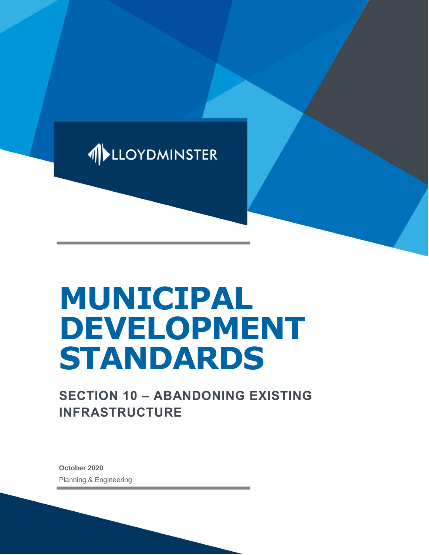

# **MUNICIPAL DEVELOPMENT STANDARDS**

## **SECTION 10 – ABANDONING EXISTING INFRASTRUCTURE**

**October 2020** Planning & Engineering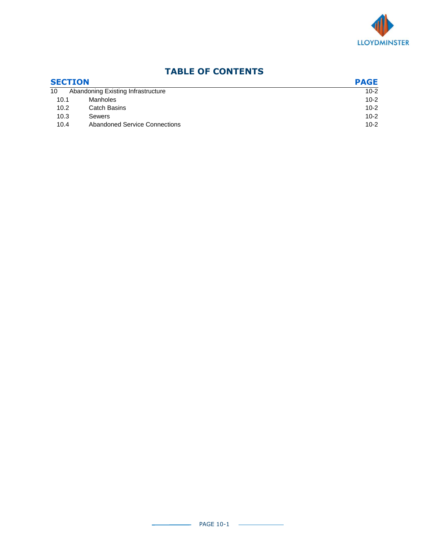

### **TABLE OF CONTENTS**

| <b>SECTION</b> |                                    | <b>PAGE</b> |  |
|----------------|------------------------------------|-------------|--|
| 10             | Abandoning Existing Infrastructure | $10-2$      |  |
| 10.1           | Manholes                           | $10 - 2$    |  |
| 10.2           | <b>Catch Basins</b>                | $10 - 2$    |  |
| 10.3           | Sewers                             | $10 - 2$    |  |
| 10.4           | Abandoned Service Connections      | $10 - 2$    |  |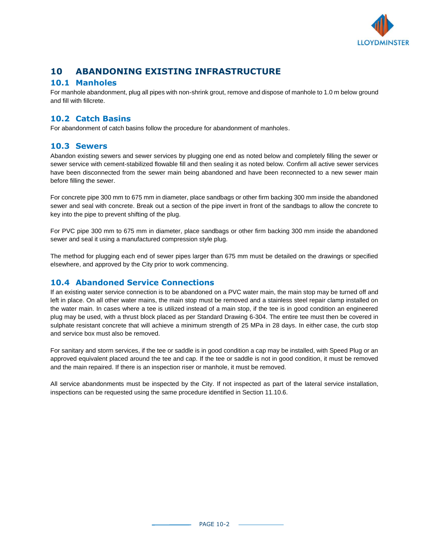

#### **10 ABANDONING EXISTING INFRASTRUCTURE**

#### **10.1 Manholes**

For manhole abandonment, plug all pipes with non-shrink grout, remove and dispose of manhole to 1.0 m below ground and fill with fillcrete.

#### **10.2 Catch Basins**

For abandonment of catch basins follow the procedure for abandonment of manholes.

#### **10.3 Sewers**

Abandon existing sewers and sewer services by plugging one end as noted below and completely filling the sewer or sewer service with cement-stabilized flowable fill and then sealing it as noted below. Confirm all active sewer services have been disconnected from the sewer main being abandoned and have been reconnected to a new sewer main before filling the sewer.

For concrete pipe 300 mm to 675 mm in diameter, place sandbags or other firm backing 300 mm inside the abandoned sewer and seal with concrete. Break out a section of the pipe invert in front of the sandbags to allow the concrete to key into the pipe to prevent shifting of the plug.

For PVC pipe 300 mm to 675 mm in diameter, place sandbags or other firm backing 300 mm inside the abandoned sewer and seal it using a manufactured compression style plug.

The method for plugging each end of sewer pipes larger than 675 mm must be detailed on the drawings or specified elsewhere, and approved by the City prior to work commencing.

#### **10.4 Abandoned Service Connections**

If an existing water service connection is to be abandoned on a PVC water main, the main stop may be turned off and left in place. On all other water mains, the main stop must be removed and a stainless steel repair clamp installed on the water main. In cases where a tee is utilized instead of a main stop, if the tee is in good condition an engineered plug may be used, with a thrust block placed as per Standard Drawing 6-304. The entire tee must then be covered in sulphate resistant concrete that will achieve a minimum strength of 25 MPa in 28 days. In either case, the curb stop and service box must also be removed.

For sanitary and storm services, if the tee or saddle is in good condition a cap may be installed, with Speed Plug or an approved equivalent placed around the tee and cap. If the tee or saddle is not in good condition, it must be removed and the main repaired. If there is an inspection riser or manhole, it must be removed.

All service abandonments must be inspected by the City. If not inspected as part of the lateral service installation, inspections can be requested using the same procedure identified in Section 11.10.6.